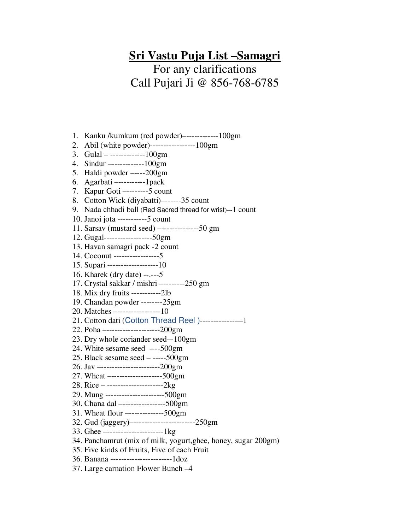## **Sri Vastu Puja List –Samagri**

For any clarifications Call Pujari Ji @ 856-768-6785

- 1. Kanku /kumkum (red powder)–------------100gm
- 2. Abil (white powder)-----------------100gm
- 3. Gulal -------------100gm
- 4. Sindur –------------100gm
- 5. Haldi powder –----200gm
- 6. Agarbati –----------1pack
- 7. Kapur Goti –--------5 count
- 8. Cotton Wick (diyabatti)–------35 count
- 9. Nada chhadi ball (Red Sacred thread for wrist)-1 count
- 10. Janoi jota -----------5 count
- 11. Sarsav (mustard seed) –--------------50 gm
- 12. Gugal------------------50gm
- 13. Havan samagri pack -2 count
- 14. Coconut -----------------5
- 15. Supari -------------------10
- 16. Kharek (dry date) --.---5
- 17. Crystal sakkar / mishri –--------250 gm
- 18. Mix dry fruits -----------2lb
- 19. Chandan powder --------25gm
- 20. Matches –----------------10
- 21. Cotton dati (Cotton Thread Reel )-------------—1
- 22. Poha –--------------------200gm
- 23. Dry whole coriander seed–-100gm
- 24. White sesame seed ----500gm
- 25. Black sesame seed -----500gm
- 26. Jav –----------------------200gm
- 27. Wheat –-------------------500gm
- 28. Rice ---------------------2kg
- 29. Mung ----------------------500gm
- 30. Chana dal –----------------500gm
- 31. Wheat flour –-------------500gm
- 32. Gud (jaggery)–-----------------------250gm
- 33. Ghee –---------------------1kg
- 34. Panchamrut (mix of milk, yogurt,ghee, honey, sugar 200gm)
- 35. Five kinds of Fruits, Five of each Fruit
- 36. Banana -----------------------1doz
- 37. Large carnation Flower Bunch –4